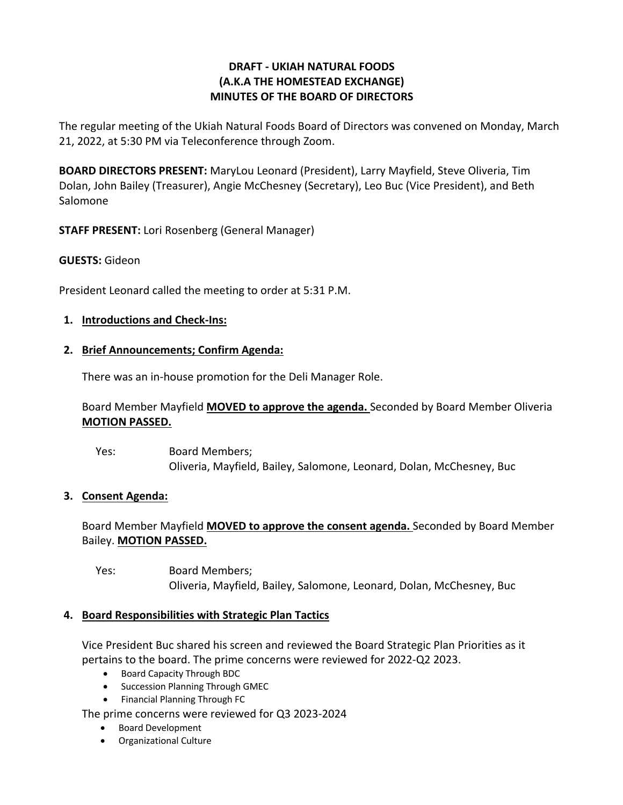# **DRAFT - UKIAH NATURAL FOODS (A.K.A THE HOMESTEAD EXCHANGE) MINUTES OF THE BOARD OF DIRECTORS**

The regular meeting of the Ukiah Natural Foods Board of Directors was convened on Monday, March 21, 2022, at 5:30 PM via Teleconference through Zoom.

**BOARD DIRECTORS PRESENT:** MaryLou Leonard (President), Larry Mayfield, Steve Oliveria, Tim Dolan, John Bailey (Treasurer), Angie McChesney (Secretary), Leo Buc (Vice President), and Beth Salomone

**STAFF PRESENT:** Lori Rosenberg (General Manager)

## **GUESTS:** Gideon

President Leonard called the meeting to order at 5:31 P.M.

### **1. Introductions and Check-Ins:**

### **2. Brief Announcements; Confirm Agenda:**

There was an in-house promotion for the Deli Manager Role.

## Board Member Mayfield **MOVED to approve the agenda.** Seconded by Board Member Oliveria **MOTION PASSED.**

Yes: Board Members; Oliveria, Mayfield, Bailey, Salomone, Leonard, Dolan, McChesney, Buc

### **3. Consent Agenda:**

# Board Member Mayfield **MOVED to approve the consent agenda.** Seconded by Board Member Bailey. **MOTION PASSED.**

Yes: Board Members; Oliveria, Mayfield, Bailey, Salomone, Leonard, Dolan, McChesney, Buc

### **4. Board Responsibilities with Strategic Plan Tactics**

Vice President Buc shared his screen and reviewed the Board Strategic Plan Priorities as it pertains to the board. The prime concerns were reviewed for 2022-Q2 2023.

- Board Capacity Through BDC
- Succession Planning Through GMEC
- Financial Planning Through FC

The prime concerns were reviewed for Q3 2023-2024

- Board Development
- Organizational Culture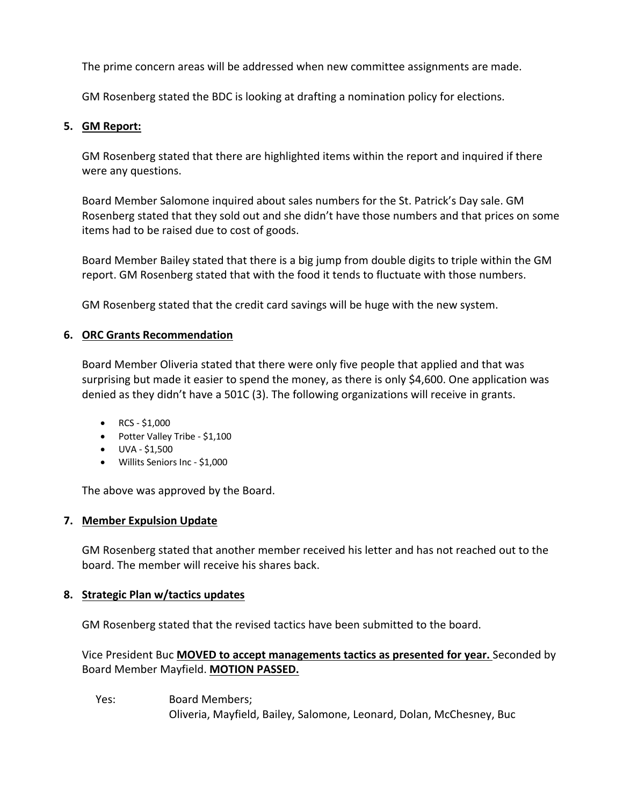The prime concern areas will be addressed when new committee assignments are made.

GM Rosenberg stated the BDC is looking at drafting a nomination policy for elections.

### **5. GM Report:**

GM Rosenberg stated that there are highlighted items within the report and inquired if there were any questions.

Board Member Salomone inquired about sales numbers for the St. Patrick's Day sale. GM Rosenberg stated that they sold out and she didn't have those numbers and that prices on some items had to be raised due to cost of goods.

Board Member Bailey stated that there is a big jump from double digits to triple within the GM report. GM Rosenberg stated that with the food it tends to fluctuate with those numbers.

GM Rosenberg stated that the credit card savings will be huge with the new system.

### **6. ORC Grants Recommendation**

Board Member Oliveria stated that there were only five people that applied and that was surprising but made it easier to spend the money, as there is only \$4,600. One application was denied as they didn't have a 501C (3). The following organizations will receive in grants.

- RCS  $$1,000$
- Potter Valley Tribe \$1,100
- UVA \$1,500
- Willits Seniors Inc \$1,000

The above was approved by the Board.

### **7. Member Expulsion Update**

GM Rosenberg stated that another member received his letter and has not reached out to the board. The member will receive his shares back.

### **8. Strategic Plan w/tactics updates**

GM Rosenberg stated that the revised tactics have been submitted to the board.

Vice President Buc **MOVED to accept managements tactics as presented for year.** Seconded by Board Member Mayfield. **MOTION PASSED.** 

Yes: Board Members; Oliveria, Mayfield, Bailey, Salomone, Leonard, Dolan, McChesney, Buc